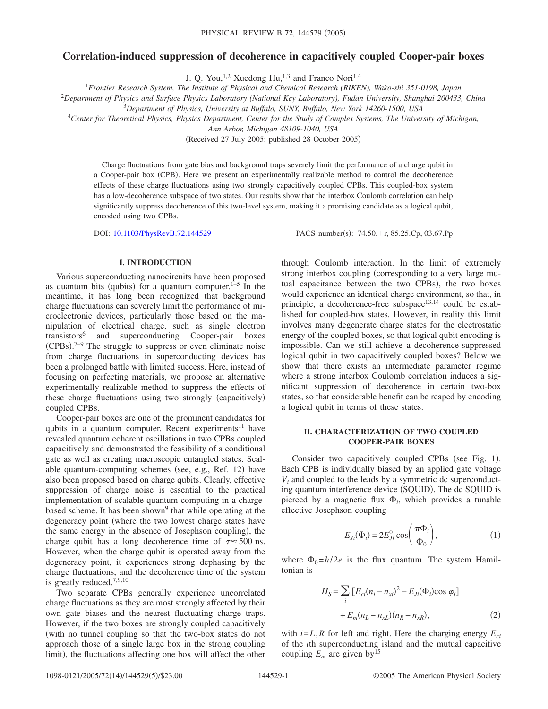# **Correlation-induced suppression of decoherence in capacitively coupled Cooper-pair boxes**

J. Q. You,<sup>1,2</sup> Xuedong Hu,<sup>1,3</sup> and Franco Nori<sup>1,4</sup>

1 *Frontier Research System, The Institute of Physical and Chemical Research (RIKEN), Wako-shi 351-0198, Japan*

<sup>2</sup>*Department of Physics and Surface Physics Laboratory (National Key Laboratory), Fudan University, Shanghai 200433, China*

3 *Department of Physics, University at Buffalo, SUNY, Buffalo, New York 14260-1500, USA*

<sup>4</sup>*Center for Theoretical Physics, Physics Department, Center for the Study of Complex Systems, The University of Michigan,*

*Ann Arbor, Michigan 48109-1040, USA*

(Received 27 July 2005; published 28 October 2005)

Charge fluctuations from gate bias and background traps severely limit the performance of a charge qubit in a Cooper-pair box (CPB). Here we present an experimentally realizable method to control the decoherence effects of these charge fluctuations using two strongly capacitively coupled CPBs. This coupled-box system has a low-decoherence subspace of two states. Our results show that the interbox Coulomb correlation can help significantly suppress decoherence of this two-level system, making it a promising candidate as a logical qubit, encoded using two CPBs.

DOI: [10.1103/PhysRevB.72.144529](http://dx.doi.org/10.1103/PhysRevB.72.144529)

PACS number(s): 74.50.+r, 85.25.Cp, 03.67.Pp

### **I. INTRODUCTION**

Various superconducting nanocircuits have been proposed as quantum bits (qubits) for a quantum computer.  $1-5$  In the meantime, it has long been recognized that background charge fluctuations can severely limit the performance of microelectronic devices, particularly those based on the manipulation of electrical charge, such as single electron transistors6 and superconducting Cooper-pair boxes  $(CPBs).<sup>7-9</sup>$  The struggle to suppress or even eliminate noise from charge fluctuations in superconducting devices has been a prolonged battle with limited success. Here, instead of focusing on perfecting materials, we propose an alternative experimentally realizable method to suppress the effects of these charge fluctuations using two strongly (capacitively) coupled CPBs.

Cooper-pair boxes are one of the prominent candidates for qubits in a quantum computer. Recent experiments<sup>11</sup> have revealed quantum coherent oscillations in two CPBs coupled capacitively and demonstrated the feasibility of a conditional gate as well as creating macroscopic entangled states. Scalable quantum-computing schemes (see, e.g., Ref. 12) have also been proposed based on charge qubits. Clearly, effective suppression of charge noise is essential to the practical implementation of scalable quantum computing in a chargebased scheme. It has been shown<sup>9</sup> that while operating at the degeneracy point (where the two lowest charge states have the same energy in the absence of Josephson coupling), the charge qubit has a long decoherence time of  $\tau \approx 500$  ns. However, when the charge qubit is operated away from the degeneracy point, it experiences strong dephasing by the charge fluctuations, and the decoherence time of the system is greatly reduced.<sup>7,9,10</sup>

Two separate CPBs generally experience uncorrelated charge fluctuations as they are most strongly affected by their own gate biases and the nearest fluctuating charge traps. However, if the two boxes are strongly coupled capacitively with no tunnel coupling so that the two-box states do not approach those of a single large box in the strong coupling limit), the fluctuations affecting one box will affect the other

through Coulomb interaction. In the limit of extremely strong interbox coupling (corresponding to a very large mutual capacitance between the two CPBs), the two boxes would experience an identical charge environment, so that, in principle, a decoherence-free subspace  $13,14$  could be established for coupled-box states. However, in reality this limit involves many degenerate charge states for the electrostatic energy of the coupled boxes, so that logical qubit encoding is impossible. Can we still achieve a decoherence-suppressed logical qubit in two capacitively coupled boxes? Below we show that there exists an intermediate parameter regime where a strong interbox Coulomb correlation induces a significant suppression of decoherence in certain two-box states, so that considerable benefit can be reaped by encoding a logical qubit in terms of these states.

## **II. CHARACTERIZATION OF TWO COUPLED COOPER-PAIR BOXES**

Consider two capacitively coupled CPBs (see Fig. 1). Each CPB is individually biased by an applied gate voltage *Vi* and coupled to the leads by a symmetric dc superconducting quantum interference device (SQUID). The dc SQUID is pierced by a magnetic flux  $\Phi_i$ , which provides a tunable effective Josephson coupling

$$
E_{Ji}(\Phi_i) = 2E_{Ji}^0 \cos\left(\frac{\pi \Phi_i}{\Phi_0}\right),\tag{1}
$$

where  $\Phi_0 = h/2e$  is the flux quantum. The system Hamiltonian is

$$
H_S = \sum_{i} [E_{ci}(n_i - n_{xi})^2 - E_{Ji}(\Phi_i)\cos\varphi_i] + E_m(n_L - n_{xL})(n_R - n_{xR}),
$$
\n(2)

with  $i=L$ ,  $R$  for left and right. Here the charging energy  $E_{ci}$ of the *i*th superconducting island and the mutual capacitive coupling  $E_m$  are given by<sup>15</sup>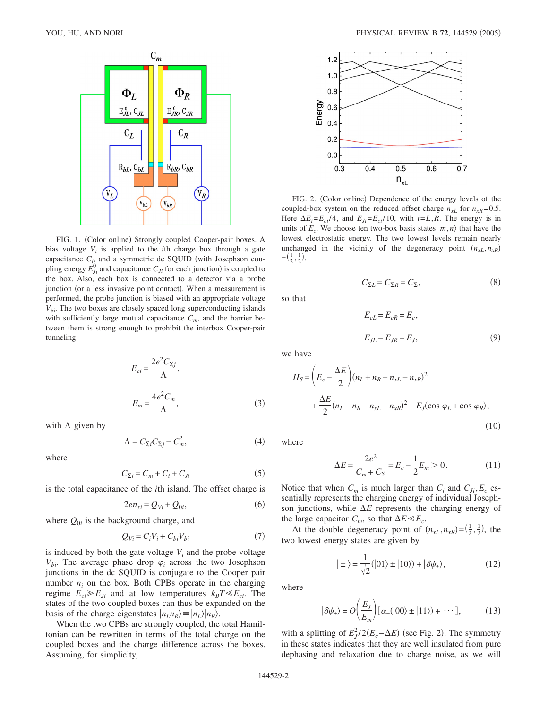

FIG. 1. (Color online) Strongly coupled Cooper-pair boxes. A bias voltage  $V_i$  is applied to the *i*th charge box through a gate capacitance  $C_{i_2}$  and a symmetric dc SQUID (with Josephson coupling energy  $E_{j_i}^0$  and capacitance  $C_{j_i}$  for each junction) is coupled to the box. Also, each box is connected to a detector via a probe junction (or a less invasive point contact). When a measurement is performed, the probe junction is biased with an appropriate voltage *V*bi. The two boxes are closely spaced long superconducting islands with sufficiently large mutual capacitance  $C_m$ , and the barrier between them is strong enough to prohibit the interbox Cooper-pair tunneling.

$$
E_{ci} = \frac{2e^2 C_{\Sigma j}}{\Lambda},
$$
  

$$
E_m = \frac{4e^2 C_m}{\Lambda},
$$
 (3)

with  $\Lambda$  given by

$$
\Lambda = C_{\Sigma i} C_{\Sigma j} - C_m^2,\tag{4}
$$

where

$$
C_{\Sigma i} = C_m + C_i + C_{Ji} \tag{5}
$$

is the total capacitance of the *i*th island. The offset charge is

$$
2en_{xi} = Q_{Vi} + Q_{0i},\tag{6}
$$

where  $Q_{0i}$  is the background charge, and

$$
Q_{Vi} = C_i V_i + C_{bi} V_{bi} \tag{7}
$$

is induced by both the gate voltage  $V_i$  and the probe voltage  $V_{bi}$ . The average phase drop  $\varphi_i$  across the two Josephson junctions in the dc SQUID is conjugate to the Cooper pair number  $n_i$  on the box. Both CPBs operate in the charging regime  $E_{ci} \ge E_{Ji}$  and at low temperatures  $k_B T \ll E_{ci}$ . The states of the two coupled boxes can thus be expanded on the basis of the charge eigenstates  $|n_L n_R\rangle = |n_L\rangle |n_R\rangle$ .

When the two CPBs are strongly coupled, the total Hamiltonian can be rewritten in terms of the total charge on the coupled boxes and the charge difference across the boxes. Assuming, for simplicity,



FIG. 2. (Color online) Dependence of the energy levels of the coupled-box system on the reduced offset charge  $n_{xL}$  for  $n_{xR}$ =0.5. Here  $\Delta E_i = E_{ci}/4$ , and  $E_{Ji} = E_{ci}/10$ , with  $i = L, R$ . The energy is in units of  $E_c$ . We choose ten two-box basis states  $|m, n\rangle$  that have the lowest electrostatic energy. The two lowest levels remain nearly unchanged in the vicinity of the degeneracy point  $(n_{xL}, n_{xR})$  $=(\frac{1}{2},\frac{1}{2}).$ 

$$
C_{\Sigma L} = C_{\Sigma R} = C_{\Sigma},\tag{8}
$$

so that

$$
E_{cL} = E_{cR} = E_c,
$$
  
\n
$$
E_{JL} = E_{JR} = E_J,
$$
\n(9)

we have

$$
H_S = \left(E_c - \frac{\Delta E}{2}\right)(n_L + n_R - n_{xL} - n_{xR})^2 + \frac{\Delta E}{2}(n_L - n_R - n_{xL} + n_{xR})^2 - E_J(\cos \varphi_L + \cos \varphi_R),
$$
\n(10)

where

$$
\Delta E = \frac{2e^2}{C_m + C_{\Sigma}} = E_c - \frac{1}{2}E_m > 0.
$$
 (11)

Notice that when  $C_m$  is much larger than  $C_i$  and  $C_{J_i}, E_c$  essentially represents the charging energy of individual Josephson junctions, while  $\Delta E$  represents the charging energy of the large capacitor  $C_m$ , so that  $\Delta E \ll E_c$ .

At the double degeneracy point of  $(n_{xL}, n_{xR}) = (\frac{1}{2}, \frac{1}{2})$ , the two lowest energy states are given by

$$
|\pm\rangle = \frac{1}{\sqrt{2}}(|01\rangle \pm |10\rangle) + |\delta\psi_{\pm}\rangle, \tag{12}
$$

where

$$
|\delta \psi_{\pm}\rangle = O\bigg(\frac{E_J}{E_m}\bigg)[\alpha_{\pm}(|00\rangle \pm |11\rangle) + \cdots],\tag{13}
$$

with a splitting of  $E_J^2/2(E_c - \Delta E)$  (see Fig. 2). The symmetry in these states indicates that they are well insulated from pure dephasing and relaxation due to charge noise, as we will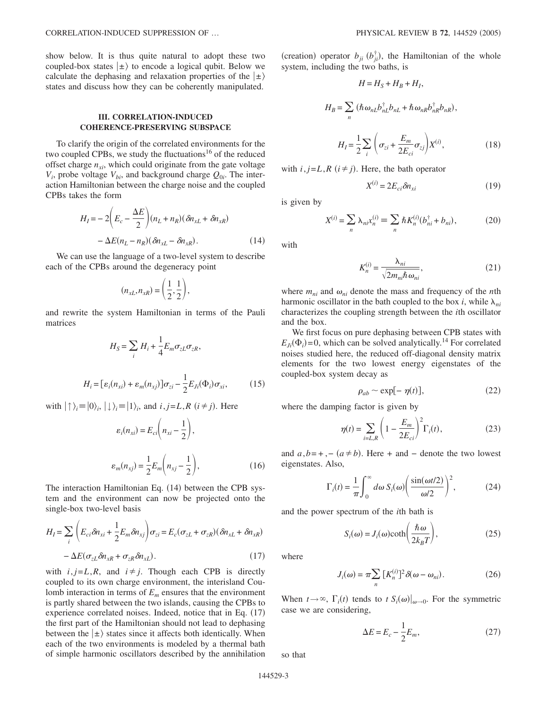show below. It is thus quite natural to adopt these two coupled-box states  $|\pm\rangle$  to encode a logical qubit. Below we calculate the dephasing and relaxation properties of the  $\ket{\pm}$ states and discuss how they can be coherently manipulated.

# **III. CORRELATION-INDUCED COHERENCE-PRESERVING SUBSPACE**

To clarify the origin of the correlated environments for the two coupled CPBs, we study the fluctuations<sup>16</sup> of the reduced offset charge  $n_{xi}$ , which could originate from the gate voltage  $V_i$ , probe voltage  $V_{bi}$ , and background charge  $Q_{0i}$ . The interaction Hamiltonian between the charge noise and the coupled CPBs takes the form

$$
H_{I} = -2\left(E_{c} - \frac{\Delta E}{2}\right)(n_{L} + n_{R})(\delta n_{xL} + \delta n_{xR})
$$

$$
-\Delta E(n_{L} - n_{R})(\delta n_{xL} - \delta n_{xR}).
$$
(14)

We can use the language of a two-level system to describe each of the CPBs around the degeneracy point

$$
(n_{xL}, n_{xR}) = \left(\frac{1}{2}, \frac{1}{2}\right),
$$

and rewrite the system Hamiltonian in terms of the Pauli matrices

$$
H_S = \sum_i H_i + \frac{1}{4} E_m \sigma_{zL} \sigma_{zR},
$$
  

$$
H_i = [\varepsilon_i(n_{xi}) + \varepsilon_m(n_{xj})] \sigma_{zi} - \frac{1}{2} E_{Ji}(\Phi_i) \sigma_{xi},
$$
 (15)

with  $|\{\rangle_i = |0\rangle_i, |\downarrow\rangle_i = |1\rangle_i$ , and  $i, j = L, R$   $(i \neq j)$ . Here

$$
\varepsilon_i(n_{xi}) = E_{ci}\left(n_{xi} - \frac{1}{2}\right),
$$

$$
\varepsilon_m(n_{xi}) = \frac{1}{2}E_m\left(n_{xi} - \frac{1}{2}\right),
$$
(16)

The interaction Hamiltonian Eq. (14) between the CPB system and the environment can now be projected onto the single-box two-level basis

$$
H_{I} = \sum_{i} \left( E_{ci} \delta n_{xi} + \frac{1}{2} E_{m} \delta n_{xj} \right) \sigma_{zi} = E_{c} (\sigma_{zL} + \sigma_{zR}) (\delta n_{xL} + \delta n_{xR})
$$

$$
- \Delta E (\sigma_{zL} \delta n_{xR} + \sigma_{zR} \delta n_{xL}). \tag{17}
$$

with  $i, j=L, R$ , and  $i \neq j$ . Though each CPB is directly coupled to its own charge environment, the interisland Coulomb interaction in terms of  $E<sub>m</sub>$  ensures that the environment is partly shared between the two islands, causing the CPBs to experience correlated noises. Indeed, notice that in Eq. (17) the first part of the Hamiltonian should not lead to dephasing between the  $|\pm\rangle$  states since it affects both identically. When each of the two environments is modeled by a thermal bath of simple harmonic oscillators described by the annihilation

(creation) operator  $b_{ji}$  ( $b_{ji}^{\dagger}$ ), the Hamiltonian of the whole system, including the two baths, is

$$
H = H_S + H_B + H_I,
$$
  
\n
$$
H_B = \sum_n (\hbar \omega_{nL} b_{nL}^{\dagger} b_{nL} + \hbar \omega_{nR} b_{nR}^{\dagger} b_{nR}),
$$
  
\n
$$
H_I = \frac{1}{2} \sum_i \left( \sigma_{zi} + \frac{E_m}{2E_{ci}} \sigma_{zj} \right) X^{(i)},
$$
\n(18)

with  $i, j=L, R$   $(i \neq j)$ . Here, the bath operator

$$
X^{(i)} = 2E_{ci}\delta n_{xi} \tag{19}
$$

is given by

$$
X^{(i)} = \sum_{n} \lambda_{ni} x_n^{(i)} \equiv \sum_{n} \hbar K_n^{(i)} (b_{ni}^\dagger + b_{ni}), \tag{20}
$$

with

$$
K_n^{(i)} = \frac{\lambda_{ni}}{\sqrt{2m_{ni}\hbar\omega_{ni}}},\tag{21}
$$

where  $m_{ni}$  and  $\omega_{ni}$  denote the mass and frequency of the *n*th harmonic oscillator in the bath coupled to the box *i*, while  $\lambda_{ni}$ characterizes the coupling strength between the *i*th oscillator and the box.

We first focus on pure dephasing between CPB states with  $E_{Ji}(\Phi_i)$  = 0, which can be solved analytically.<sup>14</sup> For correlated noises studied here, the reduced off-diagonal density matrix elements for the two lowest energy eigenstates of the coupled-box system decay as

$$
\rho_{ab} \sim \exp[-\eta(t)],\tag{22}
$$

where the damping factor is given by

$$
\eta(t) = \sum_{i=L,R} \left( 1 - \frac{E_m}{2E_{ci}} \right)^2 \Gamma_i(t),
$$
\n(23)

and  $a, b = +, - (a \ne b)$ . Here + and − denote the two lowest eigenstates. Also,

$$
\Gamma_i(t) = \frac{1}{\pi} \int_0^\infty d\omega \, S_i(\omega) \left( \frac{\sin(\omega t/2)}{\omega/2} \right)^2, \tag{24}
$$

and the power spectrum of the *i*th bath is

$$
S_i(\omega) = J_i(\omega) \coth\left(\frac{\hbar \omega}{2k_B T}\right),\tag{25}
$$

where

$$
J_i(\omega) = \pi \sum_n [K_n^{(i)}]^2 \delta(\omega - \omega_{ni}).
$$
 (26)

When  $t \to \infty$ ,  $\Gamma_i(t)$  tends to  $t S_i(\omega)|_{\omega \to 0}$ . For the symmetric case we are considering,

$$
\Delta E = E_c - \frac{1}{2} E_m,\tag{27}
$$

so that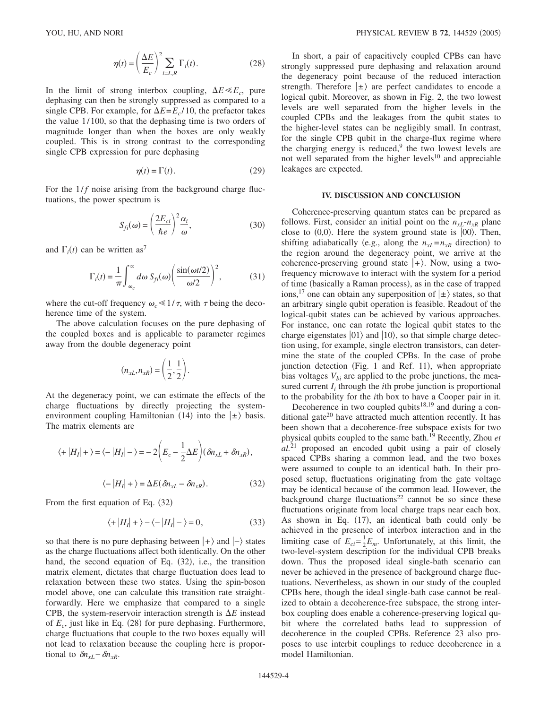$$
\eta(t) = \left(\frac{\Delta E}{E_c}\right)^2 \sum_{i=L,R} \Gamma_i(t). \tag{28}
$$

In the limit of strong interbox coupling,  $\Delta E \ll E_c$ , pure dephasing can then be strongly suppressed as compared to a single CPB. For example, for  $\Delta E = E_c / 10$ , the prefactor takes the value 1/ 100, so that the dephasing time is two orders of magnitude longer than when the boxes are only weakly coupled. This is in strong contrast to the corresponding single CPB expression for pure dephasing

$$
\eta(t) = \Gamma(t). \tag{29}
$$

For the  $1/f$  noise arising from the background charge fluctuations, the power spectrum is

$$
S_{fi}(\omega) = \left(\frac{2E_{ci}}{\hbar e}\right)^2 \frac{\alpha_i}{\omega},\tag{30}
$$

and  $\Gamma_i(t)$  can be written as<sup>7</sup>

$$
\Gamma_i(t) = \frac{1}{\pi} \int_{\omega_c}^{\infty} d\omega \, S_{fi}(\omega) \left( \frac{\sin(\omega t/2)}{\omega/2} \right)^2, \tag{31}
$$

where the cut-off frequency  $\omega_c \ll 1/\tau$ , with  $\tau$  being the decoherence time of the system.

The above calculation focuses on the pure dephasing of the coupled boxes and is applicable to parameter regimes away from the double degeneracy point

$$
(n_{xL}, n_{xR}) = \left(\frac{1}{2}, \frac{1}{2}\right).
$$

At the degeneracy point, we can estimate the effects of the charge fluctuations by directly projecting the systemenvironment coupling Hamiltonian (14) into the  $\ket{\pm}$  basis. The matrix elements are

$$
\langle + |H_I| + \rangle = \langle -|H_I| - \rangle = -2\left(E_c - \frac{1}{2}\Delta E\right)(\delta n_{xL} + \delta n_{xR}),
$$
  

$$
\langle -|H_I| + \rangle = \Delta E(\delta n_{xL} - \delta n_{xR}).
$$
 (32)

From the first equation of Eq. (32)

$$
\langle + |H_I| + \rangle - \langle -|H_I| - \rangle = 0,\tag{33}
$$

so that there is no pure dephasing between  $|+\rangle$  and  $|-\rangle$  states as the charge fluctuations affect both identically. On the other hand, the second equation of Eq. (32), i.e., the transition matrix element, dictates that charge fluctuation does lead to relaxation between these two states. Using the spin-boson model above, one can calculate this transition rate straightforwardly. Here we emphasize that compared to a single CPB, the system-reservoir interaction strength is  $\Delta E$  instead of  $E_c$ , just like in Eq. (28) for pure dephasing. Furthermore, charge fluctuations that couple to the two boxes equally will not lead to relaxation because the coupling here is proportional to  $\delta n_{xL} - \delta n_{xR}$ .

In short, a pair of capacitively coupled CPBs can have strongly suppressed pure dephasing and relaxation around the degeneracy point because of the reduced interaction strength. Therefore  $|\pm\rangle$  are perfect candidates to encode a logical qubit. Moreover, as shown in Fig. 2, the two lowest levels are well separated from the higher levels in the coupled CPBs and the leakages from the qubit states to the higher-level states can be negligibly small. In contrast, for the single CPB qubit in the charge-flux regime where the charging energy is reduced, $9$  the two lowest levels are not well separated from the higher levels<sup>10</sup> and appreciable leakages are expected.

#### **IV. DISCUSSION AND CONCLUSION**

Coherence-preserving quantum states can be prepared as follows. First, consider an initial point on the  $n_{xL} - n_{xR}$  plane close to  $(0,0)$ . Here the system ground state is  $|00\rangle$ . Then, shifting adiabatically (e.g., along the  $n_{xL} = n_{xR}$  direction) to the region around the degeneracy point, we arrive at the coherence-preserving ground state  $|+\rangle$ . Now, using a twofrequency microwave to interact with the system for a period of time (basically a Raman process), as in the case of trapped ions,<sup>17</sup> one can obtain any superposition of  $|\pm\rangle$  states, so that an arbitrary single qubit operation is feasible. Readout of the logical-qubit states can be achieved by various approaches. For instance, one can rotate the logical qubit states to the charge eigenstates  $|01\rangle$  and  $|10\rangle$ , so that simple charge detection using, for example, single electron transistors, can determine the state of the coupled CPBs. In the case of probe junction detection (Fig. 1 and Ref. 11), when appropriate bias voltages  $V_{bi}$  are applied to the probe junctions, the measured current  $I_i$  through the *i*th probe junction is proportional to the probability for the *i*th box to have a Cooper pair in it.

Decoherence in two coupled qubits<sup>18,19</sup> and during a conditional gate<sup>20</sup> have attracted much attention recently. It has been shown that a decoherence-free subspace exists for two physical qubits coupled to the same bath.19 Recently, Zhou *et al.*<sup>21</sup> proposed an encoded qubit using a pair of closely spaced CPBs sharing a common lead, and the two boxes were assumed to couple to an identical bath. In their proposed setup, fluctuations originating from the gate voltage may be identical because of the common lead. However, the background charge fluctuations<sup>22</sup> cannot be so since these fluctuations originate from local charge traps near each box. As shown in Eq.  $(17)$ , an identical bath could only be achieved in the presence of interbox interaction and in the limiting case of  $E_{ci} = \frac{1}{2} E_m$ . Unfortunately, at this limit, the two-level-system description for the individual CPB breaks down. Thus the proposed ideal single-bath scenario can never be achieved in the presence of background charge fluctuations. Nevertheless, as shown in our study of the coupled CPBs here, though the ideal single-bath case cannot be realized to obtain a decoherence-free subspace, the strong interbox coupling does enable a coherence-preserving logical qubit where the correlated baths lead to suppression of decoherence in the coupled CPBs. Reference 23 also proposes to use interbit couplings to reduce decoherence in a model Hamiltonian.